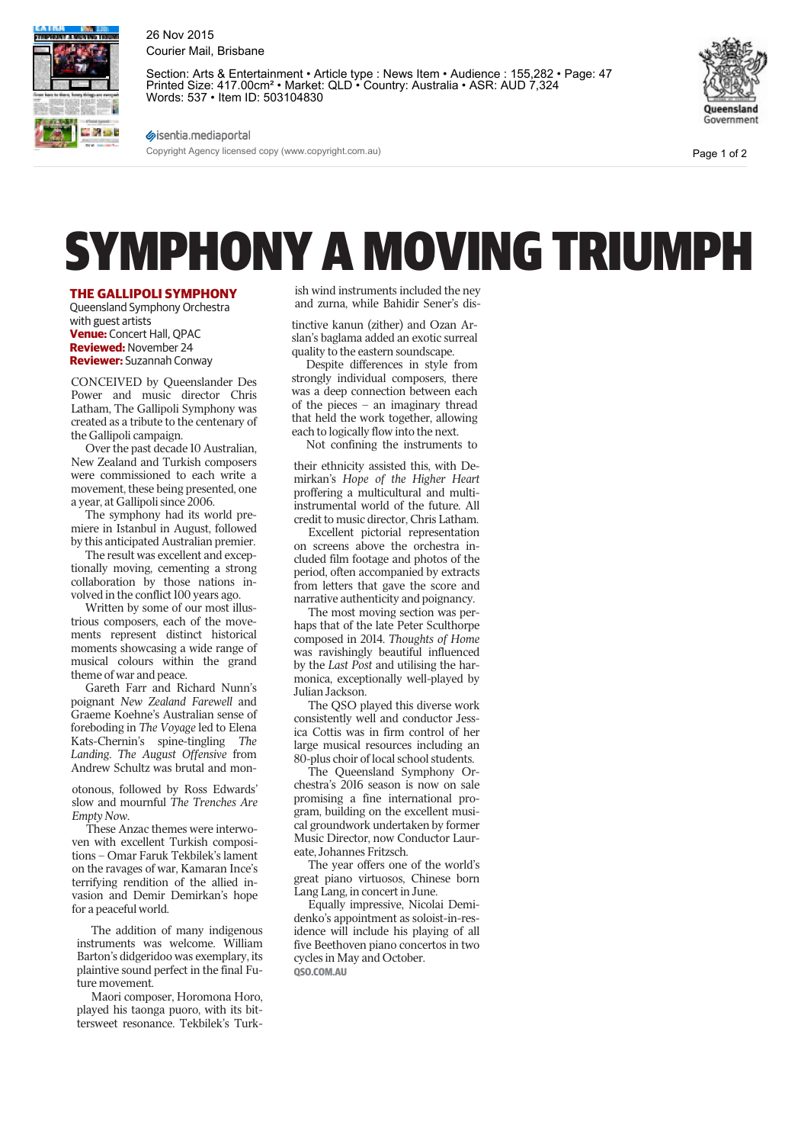

26 Nov 2015 Courier Mail, Brisbane

Section: Arts & Entertainment • Article type : News Item • Audience : 155,282 • Page: 47 Printed Size: 417.00cm<sup>2</sup> • Market: QLD • Country: Australia • ASR: AUD 7,324 Words: 537 • Item ID: 503104830



Page 1 of 2

sisentia.mediaportal Copyright Agency licensed copy (www.copyright.com.au)

## SYMPHONY A MOVING TRIUMPH

## **THE GALLIPOLI SYMPHONY**

Queensland Symphony Orchestra with guest artists **Venue:** Concert Hall, QPAC **Reviewed:** November 24 **Reviewer:** Suzannah Conway

CONCEIVED by Queenslander Des Power and music director Chris Latham, The Gallipoli Symphony was created as a tribute to the centenary of the Gallipoli campaign.

Over the past decade 10 Australian, New Zealand and Turkish composers were commissioned to each write a movement, these being presented, one a year, at Gallipoli since 2006.

The symphony had its world premiere in Istanbul in August, followed by this anticipated Australian premier.

The result was excellent and exceptionally moving, cementing a strong collaboration by those nations involved in the conflict 100 years ago.

Written by some of our most illustrious composers, each of the movements represent distinct historical moments showcasing a wide range of musical colours within the grand theme of war and peace.

Gareth Farr and Richard Nunn's poignant *New Zealand Farewell* and Graeme Koehne's Australian sense of foreboding in *The Voyage* led to Elena Kats-Chernin's spine-tingling *The Landing*. *The August Offensive* from Andrew Schultz was brutal and mon-

otonous, followed by Ross Edwards' slow and mournful *The Trenches Are Empty Now*.

These Anzac themes were interwoven with excellent Turkish compositions – Omar Faruk Tekbilek's lament on the ravages of war, Kamaran Ince's terrifying rendition of the allied invasion and Demir Demirkan's hope for a peaceful world.

The addition of many indigenous instruments was welcome. William Barton's didgeridoo was exemplary, its plaintive sound perfect in the final Future movement.

Maori composer, Horomona Horo, played his taonga puoro, with its bittersweet resonance. Tekbilek's Turkish wind instruments included the ney and zurna, while Bahidir Sener's dis-

tinctive kanun (zither) and Ozan Arslan's baglama added an exotic surreal quality to the eastern soundscape.

Despite differences in style from strongly individual composers, there was a deep connection between each of the pieces – an imaginary thread that held the work together, allowing each to logically flow into the next.

Not confining the instruments to

their ethnicity assisted this, with Demirkan's *Hope of the Higher Heart* proffering a multicultural and multiinstrumental world of the future. All credit to music director, Chris Latham.

Excellent pictorial representation on screens above the orchestra included film footage and photos of the period, often accompanied by extracts from letters that gave the score and narrative authenticity and poignancy.

The most moving section was perhaps that of the late Peter Sculthorpe composed in 2014. *Thoughts of Home* was ravishingly beautiful influenced by the *Last Post* and utilising the harmonica, exceptionally well-played by Julian Jackson.

The QSO played this diverse work consistently well and conductor Jessica Cottis was in firm control of her large musical resources including an 80-plus choir of local school students.

The Queensland Symphony Orchestra's 2016 season is now on sale promising a fine international program, building on the excellent musical groundwork undertaken by former Music Director, now Conductor Laureate, Johannes Fritzsch.

The year offers one of the world's great piano virtuosos, Chinese born Lang Lang, in concert in June.

Equally impressive, Nicolai Demidenko's appointment as soloist-in-residence will include his playing of all five Beethoven piano concertos in two cycles in May and October. **QSO.COM.AU**